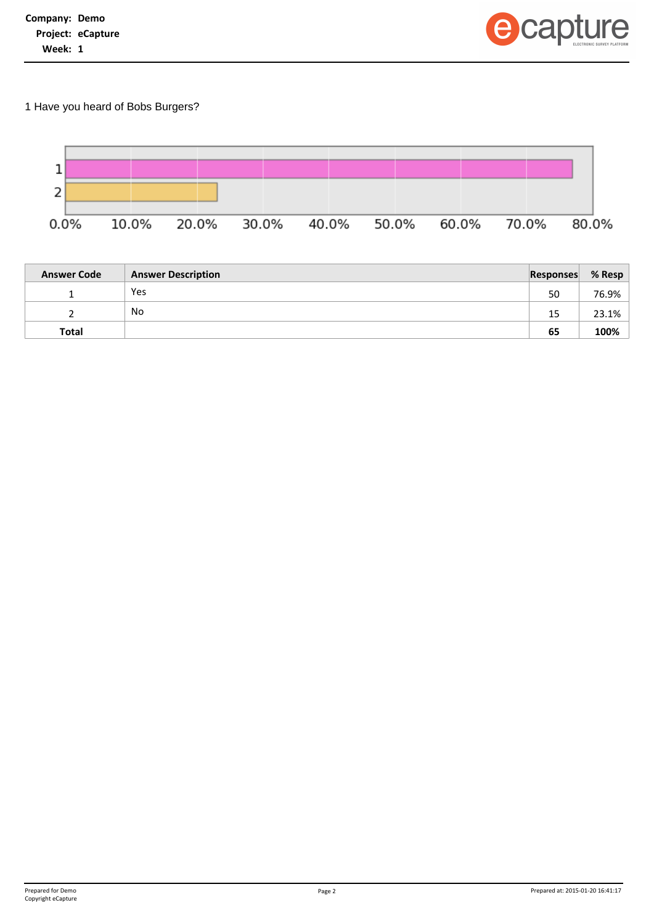

1 Have you heard of Bobs Burgers?



| <b>Answer Code</b> | <b>Answer Description</b> | Responses | % Resp |
|--------------------|---------------------------|-----------|--------|
|                    | Yes                       | 50        | 76.9%  |
|                    | No                        | 15        | 23.1%  |
| Total              |                           | 65        | 100%   |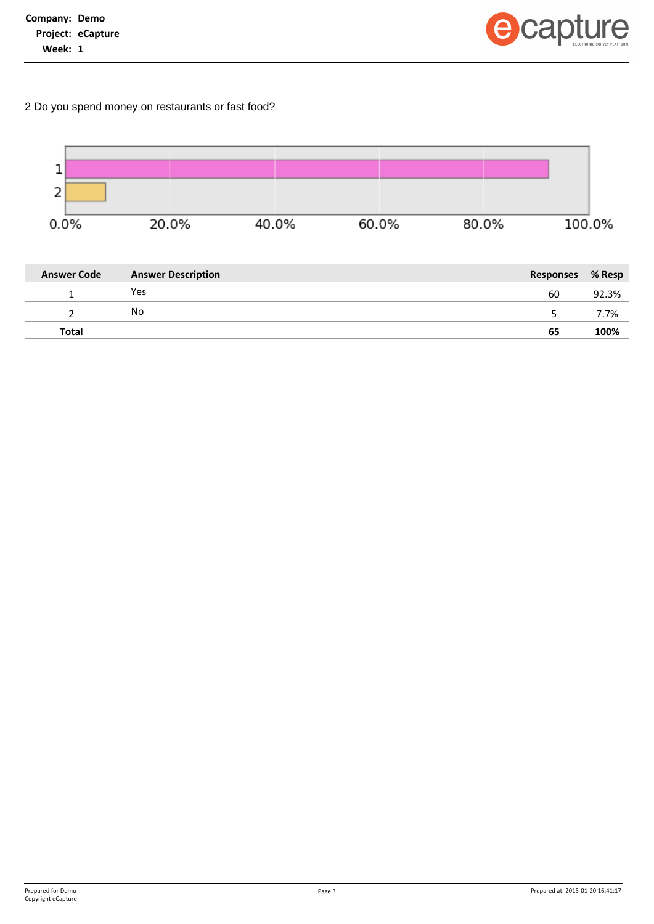

2 Do you spend money on restaurants or fast food?



| <b>Answer Code</b> | <b>Answer Description</b> | <b>Responses</b> | % Resp |
|--------------------|---------------------------|------------------|--------|
|                    | Yes                       | 60               | 92.3%  |
|                    | No                        |                  | 7.7%   |
| Total              |                           | 65               | 100%   |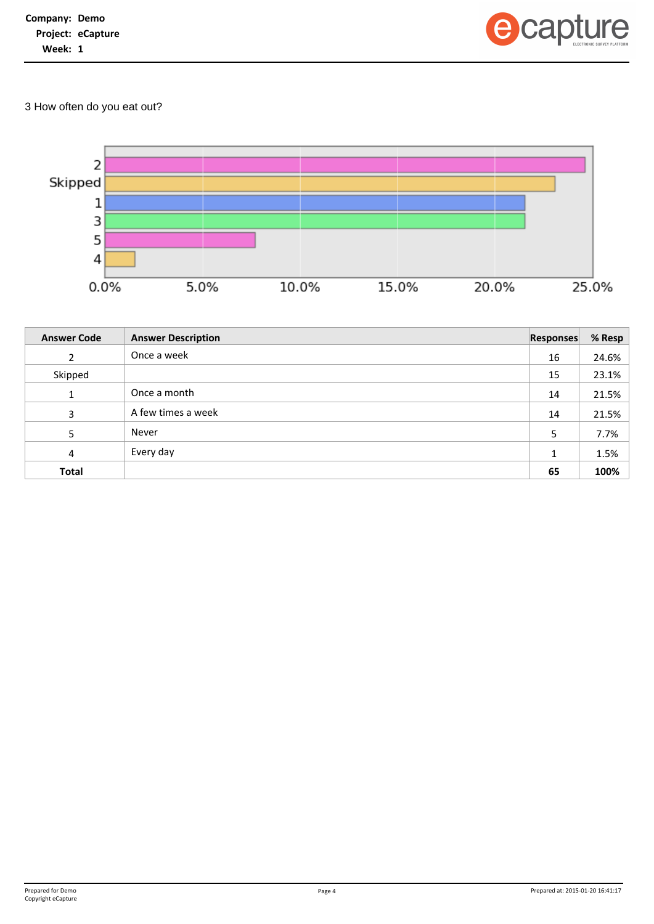

3 How often do you eat out?



| <b>Answer Code</b> | <b>Answer Description</b> | <b>Responses</b> | % Resp |
|--------------------|---------------------------|------------------|--------|
| $\mathcal{L}$      | Once a week               | 16               | 24.6%  |
| Skipped            |                           | 15               | 23.1%  |
| 1                  | Once a month              | 14               | 21.5%  |
| 3                  | A few times a week        | 14               | 21.5%  |
| 5                  | Never                     | 5                | 7.7%   |
| 4                  | Every day                 | 1                | 1.5%   |
| <b>Total</b>       |                           | 65               | 100%   |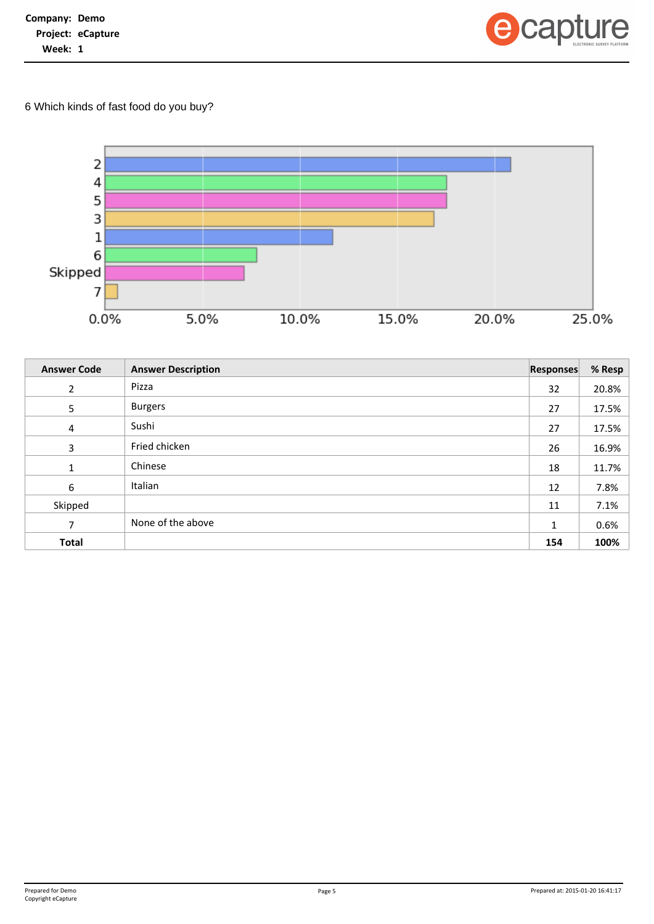

6 Which kinds of fast food do you buy?



| <b>Answer Code</b> | <b>Answer Description</b> | <b>Responses</b> | % Resp |
|--------------------|---------------------------|------------------|--------|
| $\overline{2}$     | Pizza                     | 32               | 20.8%  |
| 5                  | <b>Burgers</b>            | 27               | 17.5%  |
| 4                  | Sushi                     | 27               | 17.5%  |
| 3                  | Fried chicken             | 26               | 16.9%  |
| $\mathbf{1}$       | Chinese                   | 18               | 11.7%  |
| 6                  | Italian                   | 12               | 7.8%   |
| Skipped            |                           | 11               | 7.1%   |
| 7                  | None of the above         | $\mathbf{1}$     | 0.6%   |
| <b>Total</b>       |                           | 154              | 100%   |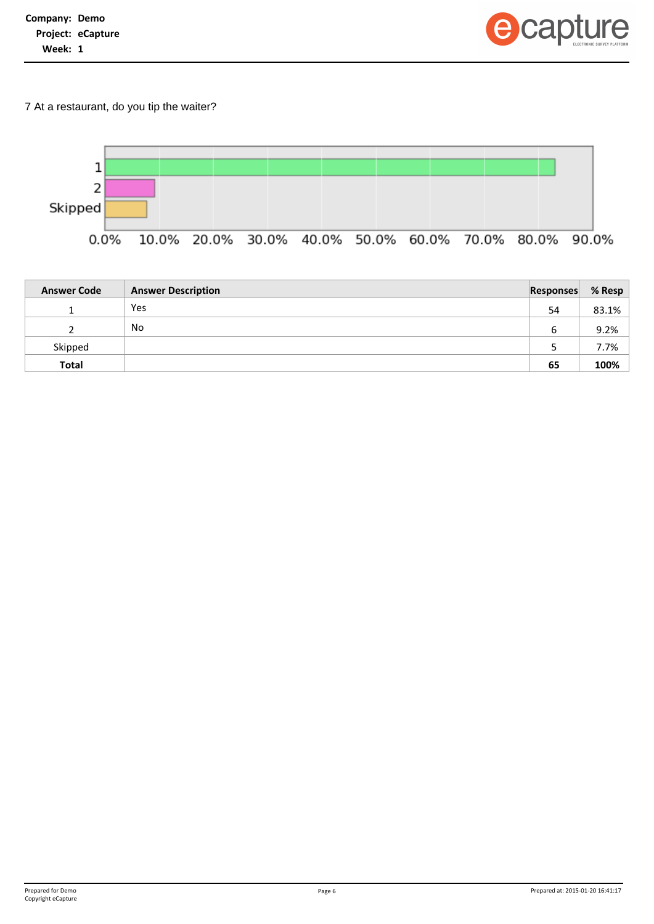| Company: Demo |                          |
|---------------|--------------------------|
|               | <b>Project: eCapture</b> |
| Week: 1       |                          |



7 At a restaurant, do you tip the waiter?



| <b>Answer Code</b> | <b>Answer Description</b> | <b>Responses</b> | % Resp |
|--------------------|---------------------------|------------------|--------|
|                    | Yes                       | 54               | 83.1%  |
|                    | No.                       | 6                | 9.2%   |
| Skipped            |                           |                  | 7.7%   |
| <b>Total</b>       |                           | 65               | 100%   |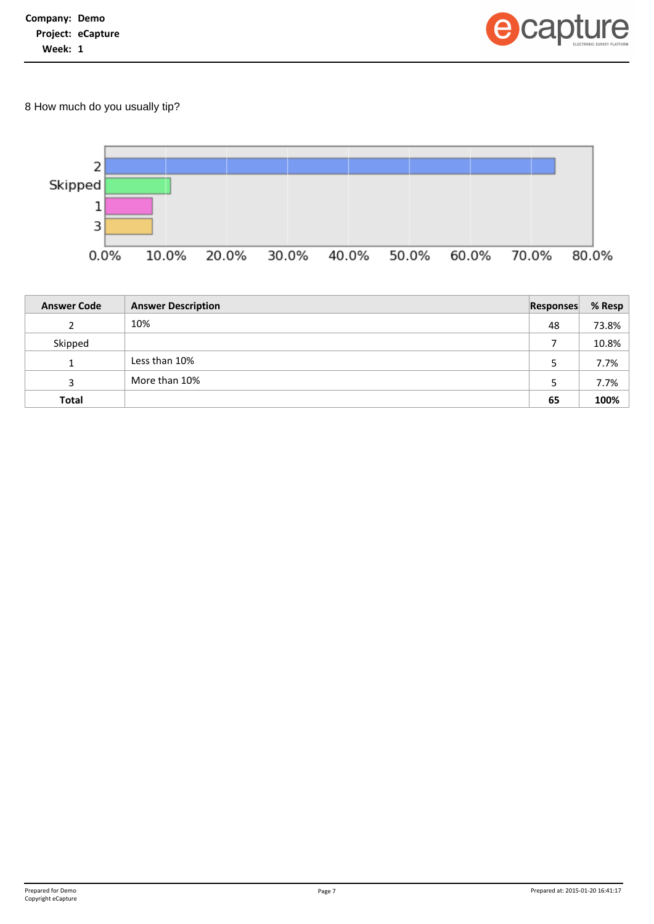

8 How much do you usually tip?



| <b>Answer Code</b> | <b>Answer Description</b> | <b>Responses</b> | % Resp |
|--------------------|---------------------------|------------------|--------|
|                    | 10%                       | 48               | 73.8%  |
| Skipped            |                           |                  | 10.8%  |
|                    | Less than 10%             | 5                | 7.7%   |
| 3                  | More than 10%             | 5                | 7.7%   |
| <b>Total</b>       |                           | 65               | 100%   |